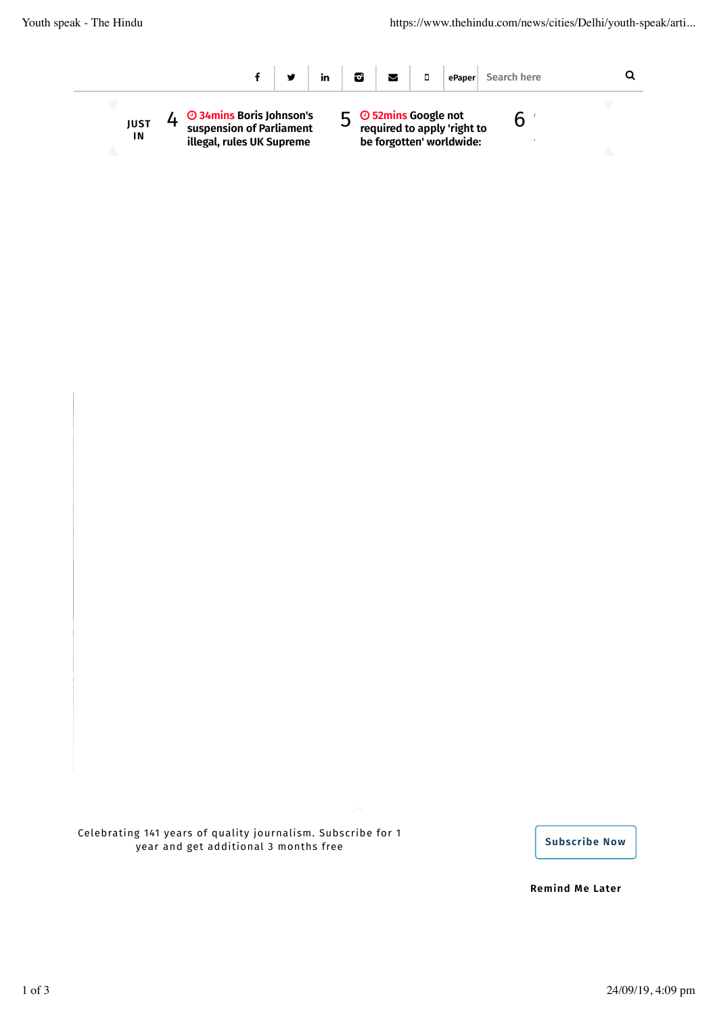

Celebrating 141 years of quality journalism. Subscribe for 1 year and get additional 3 months free **Subscribe Now contained the Subscribe Now** 

**Remind Me Later**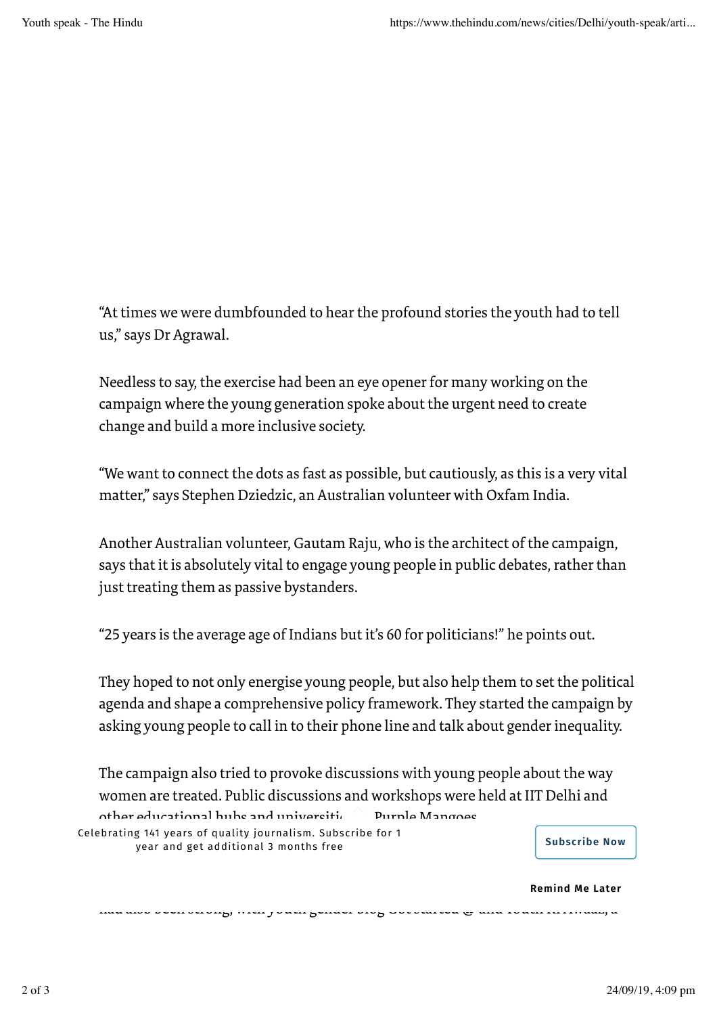"At times we were dumbfounded to hear the profound stories the youth had to tell us," says Dr Agrawal.

Needless to say, the exercise had been an eye opener for many working on the campaign where the young generation spoke about the urgent need to create change and build a more inclusive society.

"We want to connect the dots as fast as possible, but cautiously, as this is a very vital matter," says Stephen Dziedzic, an Australian volunteer with Oxfam India.

Another Australian volunteer, Gautam Raju, who is the architect of the campaign, says that it is absolutely vital to engage young people in public debates, rather than just treating them as passive bystanders.

"25 years is the average age of Indians but it's 60 for politicians!" he points out.

They hoped to not only energise young people, but also help them to set the political agenda and shape a comprehensive policy framework. They started the campaign by asking young people to call in to their phone line and talk about gender inequality.

The campaign also tried to provoke discussions with young people about the way women are treated. Public discussions and workshops were held at IIT Delhi and  $\alpha$  other educational hubs and universities burple Mangoes.

had also been strong, with youth gender blog Got started @ and Youth Ki Awaaz, a

Celebrating 141 years of quality journalism. Subscribe for 1 year and get additional 3 months free **Subscribe Now** example and get additional 3 months free

**Remind Me Later**